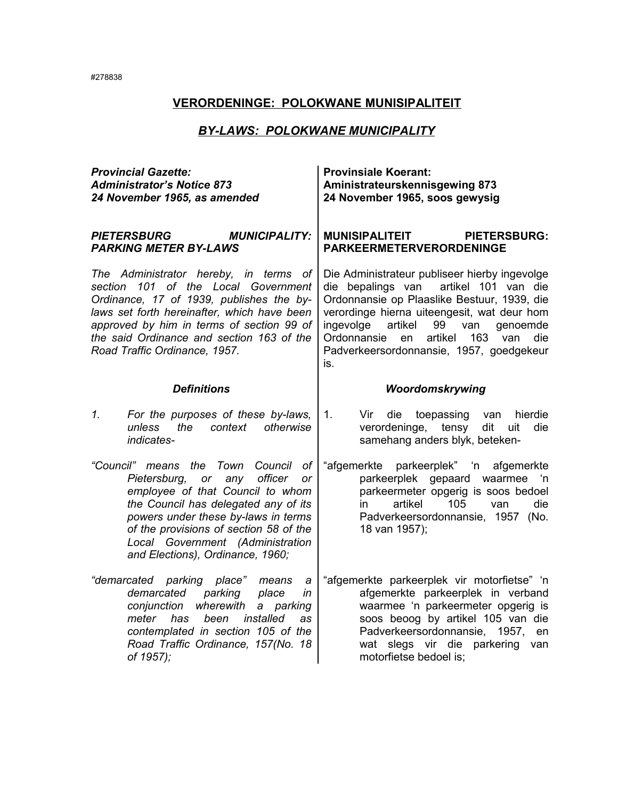## *BY-LAWS: POLOKWANE MUNICIPALITY*

| <b>Provincial Gazette:</b><br><b>Administrator's Notice 873</b><br>24 November 1965, as amended                                                                                                                                                                                                                              | <b>Provinsiale Koerant:</b><br>Aministrateurskennisgewing 873<br>24 November 1965, soos gewysig                                                                                                                                                                                                                                                  |
|------------------------------------------------------------------------------------------------------------------------------------------------------------------------------------------------------------------------------------------------------------------------------------------------------------------------------|--------------------------------------------------------------------------------------------------------------------------------------------------------------------------------------------------------------------------------------------------------------------------------------------------------------------------------------------------|
| <b>MUNICIPALITY:</b><br><b>PIETERSBURG</b><br><b>PARKING METER BY-LAWS</b>                                                                                                                                                                                                                                                   | <b>MUNISIPALITEIT</b><br><b>PIETERSBURG:</b><br><b>PARKEERMETERVERORDENINGE</b>                                                                                                                                                                                                                                                                  |
| The Administrator hereby, in terms of<br>101 of the Local Government<br>section<br>Ordinance, 17 of 1939, publishes the by-<br>laws set forth hereinafter, which have been<br>approved by him in terms of section 99 of<br>the said Ordinance and section 163 of the<br>Road Traffic Ordinance, 1957.                        | Die Administrateur publiseer hierby ingevolge<br>artikel 101 van die<br>die bepalings van<br>Ordonnansie op Plaaslike Bestuur, 1939, die<br>verordinge hierna uiteengesit, wat deur hom<br>ingevolge<br>artikel<br>99<br>van<br>genoemde<br>artikel<br>163<br>Ordonnansie<br>en<br>van<br>die<br>Padverkeersordonnansie, 1957, goedgekeur<br>is. |
| <b>Definitions</b>                                                                                                                                                                                                                                                                                                           | Woordomskrywing                                                                                                                                                                                                                                                                                                                                  |
| For the purposes of these by-laws,<br>1.<br>context<br>otherwise<br>unless<br>the<br>indicates-                                                                                                                                                                                                                              | 1.<br>Vir<br>die<br>toepassing<br>hierdie<br>van<br>verordeninge, tensy<br>dit<br>die<br>uit<br>samehang anders blyk, beteken-                                                                                                                                                                                                                   |
| "Council" means the Town<br>Council<br>of<br>Pietersburg,<br>officer<br>or<br>any<br>or<br>employee of that Council to whom<br>the Council has delegated any of its<br>powers under these by-laws in terms<br>of the provisions of section 58 of the<br>Local Government (Administration<br>and Elections), Ordinance, 1960; | "afgemerkte parkeerplek" 'n<br>afgemerkte<br>parkeerplek gepaard waarmee<br>∴'n<br>parkeermeter opgerig is soos bedoel<br>artikel<br>105<br>die<br>van<br>in.<br>Padverkeersordonnansie, 1957 (No.<br>18 van 1957);                                                                                                                              |
| "demarcated<br>parking<br>place"<br>means<br>а<br>demarcated<br>parking<br>place<br>in<br>conjunction<br>wherewith<br>a parking<br>meter<br>has<br>been<br>installed<br>as<br>contemplated in section 105 of the<br>Road Traffic Ordinance, 157(No. 18<br>of 1957);                                                          | "afgemerkte parkeerplek vir motorfietse" 'n<br>afgemerkte parkeerplek in verband<br>waarmee 'n parkeermeter opgerig is<br>soos beoog by artikel 105 van die<br>Padverkeersordonnansie, 1957,<br>en<br>wat slegs vir die parkering<br>van<br>motorfietse bedoel is:                                                                               |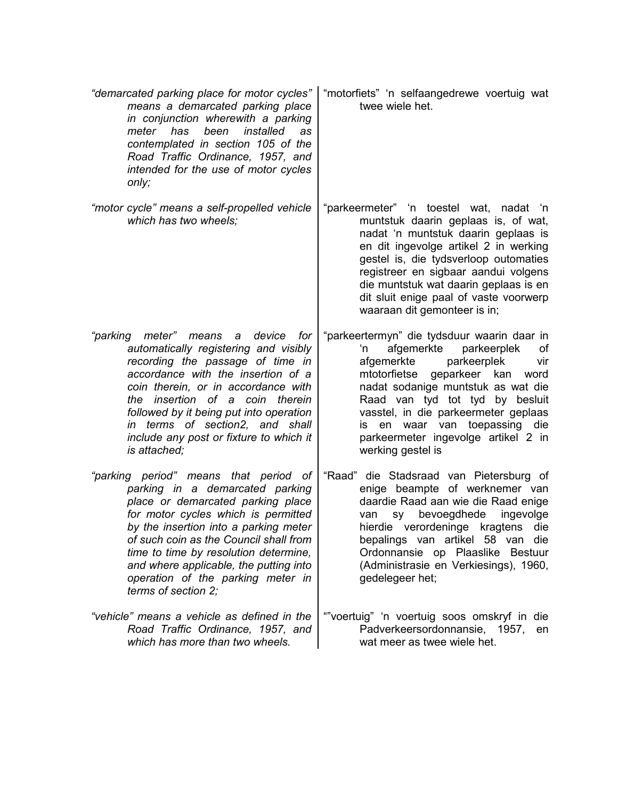| "demarcated parking place for motor cycles"<br>means a demarcated parking place<br>in conjunction wherewith a parking<br>meter<br>has<br>been<br>installed<br>as<br>contemplated in section 105 of the<br>Road Traffic Ordinance, 1957, and<br>intended for the use of motor cycles<br>only;                                                                                            | "motorfiets" 'n selfaangedrewe voertuig wat<br>twee wiele het.                                                                                                                                                                                                                                                                                                                     |
|-----------------------------------------------------------------------------------------------------------------------------------------------------------------------------------------------------------------------------------------------------------------------------------------------------------------------------------------------------------------------------------------|------------------------------------------------------------------------------------------------------------------------------------------------------------------------------------------------------------------------------------------------------------------------------------------------------------------------------------------------------------------------------------|
| "motor cycle" means a self-propelled vehicle<br>which has two wheels;                                                                                                                                                                                                                                                                                                                   | "parkeermeter" 'n toestel wat, nadat 'n<br>muntstuk daarin geplaas is, of wat,<br>nadat 'n muntstuk daarin geplaas is<br>en dit ingevolge artikel 2 in werking<br>gestel is, die tydsverloop outomaties<br>registreer en sigbaar aandui volgens<br>die muntstuk wat daarin geplaas is en<br>dit sluit enige paal of vaste voorwerp<br>waaraan dit gemonteer is in;                 |
| "parking<br>meter"<br>device<br>for<br>means<br>а<br>automatically registering and visibly<br>recording the passage of time in<br>accordance with the insertion of a<br>coin therein, or in accordance with<br>the insertion of a coin therein<br>followed by it being put into operation<br>in terms of section2, and shall<br>include any post or fixture to which it<br>is attached; | "parkeertermyn" die tydsduur waarin daar in<br>afgemerkte<br>parkeerplek<br>'n<br>Οf<br>afgemerkte<br>parkeerplek<br>vir<br>mtotorfietse<br>geparkeer kan<br>word<br>nadat sodanige muntstuk as wat die<br>Raad van tyd tot tyd by besluit<br>vasstel, in die parkeermeter geplaas<br>is en waar van toepassing<br>die<br>parkeermeter ingevolge artikel 2 in<br>werking gestel is |
| "parking period" means that period of<br>parking in a demarcated parking<br>place or demarcated parking place<br>for motor cycles which is permitted<br>by the insertion into a parking meter<br>of such coin as the Council shall from<br>time to time by resolution determine,<br>and where applicable, the putting into<br>operation of the parking meter in<br>terms of section 2;  | "Raad"<br>die Stadsraad van Pietersburg of<br>enige beampte of werknemer van<br>daardie Raad aan wie die Raad enige<br>bevoegdhede<br>ingevolge<br>sy<br>van<br>hierdie verordeninge kragtens<br>die<br>bepalings van artikel 58 van die<br>Ordonnansie op Plaaslike Bestuur<br>(Administrasie en Verkiesings), 1960,<br>gedelegeer het;                                           |
| "vehicle" means a vehicle as defined in the<br>Road Traffic Ordinance, 1957, and<br>which has more than two wheels.                                                                                                                                                                                                                                                                     | ""voertuig" 'n voertuig soos omskryf in die<br>Padverkeersordonnansie, 1957, en<br>wat meer as twee wiele het.                                                                                                                                                                                                                                                                     |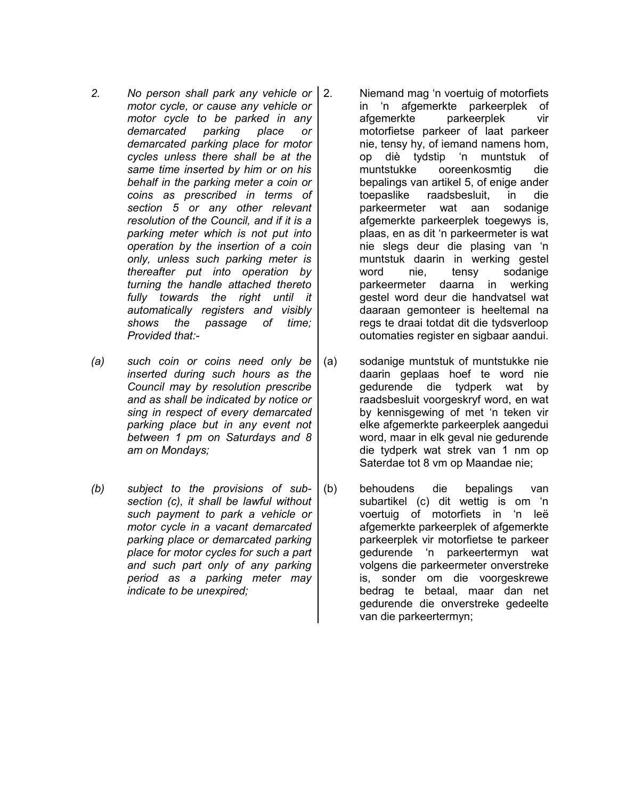- *2. No person shall park any vehicle or motor cycle, or cause any vehicle or motor cycle to be parked in any demarcated parking place or demarcated parking place for motor cycles unless there shall be at the same time inserted by him or on his behalf in the parking meter a coin or coins as prescribed in terms of section 5 or any other relevant resolution of the Council, and if it is a parking meter which is not put into operation by the insertion of a coin only, unless such parking meter is thereafter put into operation by turning the handle attached thereto fully towards the right until it automatically registers and visibly shows the passage of time; Provided that:-*
- *(a) such coin or coins need only be inserted during such hours as the Council may by resolution prescribe and as shall be indicated by notice or sing in respect of every demarcated parking place but in any event not between 1 pm on Saturdays and 8 am on Mondays;*
- *(b) subject to the provisions of subsection (c), it shall be lawful without such payment to park a vehicle or motor cycle in a vacant demarcated parking place or demarcated parking place for motor cycles for such a part and such part only of any parking period as a parking meter may indicate to be unexpired;*
- 2. Niemand mag 'n voertuig of motorfiets in 'n afgemerkte parkeerplek of afgemerkte parkeerplek vir motorfietse parkeer of laat parkeer nie, tensy hy, of iemand namens hom, op diè tydstip 'n muntstuk of muntstukke ooreenkosmtig die bepalings van artikel 5, of enige ander toepaslike raadsbesluit, in die parkeermeter wat aan sodanige afgemerkte parkeerplek toegewys is, plaas, en as dit 'n parkeermeter is wat nie slegs deur die plasing van 'n muntstuk daarin in werking gestel word nie, tensy sodanige parkeermeter daarna in werking gestel word deur die handvatsel wat daaraan gemonteer is heeltemal na regs te draai totdat dit die tydsverloop outomaties register en sigbaar aandui.
- (a) sodanige muntstuk of muntstukke nie daarin geplaas hoef te word nie gedurende die tydperk wat by raadsbesluit voorgeskryf word, en wat by kennisgewing of met 'n teken vir elke afgemerkte parkeerplek aangedui word, maar in elk geval nie gedurende die tydperk wat strek van 1 nm op Saterdae tot 8 vm op Maandae nie;
- (b) behoudens die bepalings van subartikel (c) dit wettig is om 'n voertuig of motorfiets in 'n leë afgemerkte parkeerplek of afgemerkte parkeerplek vir motorfietse te parkeer gedurende 'n parkeertermyn wat volgens die parkeermeter onverstreke is, sonder om die voorgeskrewe bedrag te betaal, maar dan net gedurende die onverstreke gedeelte van die parkeertermyn;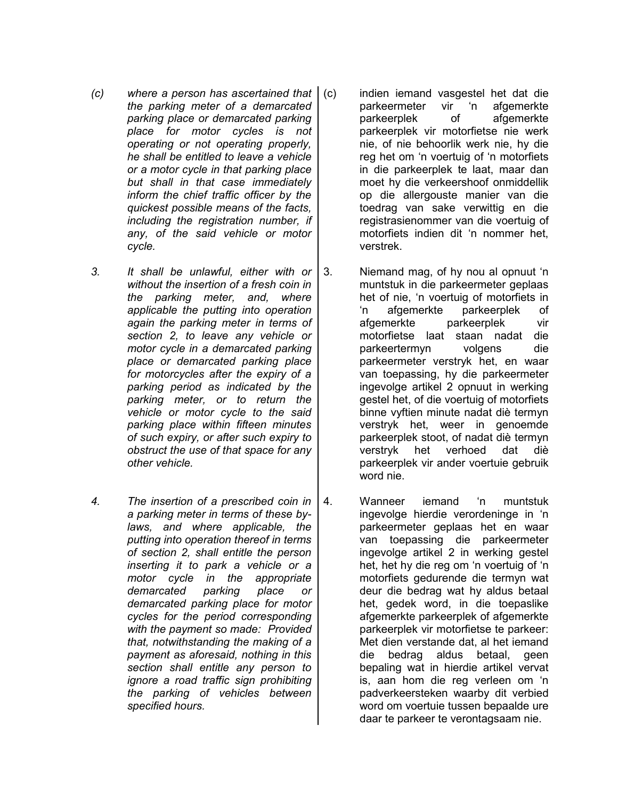- *(c) where a person has ascertained that the parking meter of a demarcated parking place or demarcated parking place for motor cycles is not operating or not operating properly, he shall be entitled to leave a vehicle or a motor cycle in that parking place but shall in that case immediately inform the chief traffic officer by the quickest possible means of the facts, including the registration number, if any, of the said vehicle or motor cycle.*
- *3. It shall be unlawful, either with or without the insertion of a fresh coin in the parking meter, and, where applicable the putting into operation again the parking meter in terms of section 2, to leave any vehicle or motor cycle in a demarcated parking place or demarcated parking place for motorcycles after the expiry of a parking period as indicated by the parking meter, or to return the vehicle or motor cycle to the said parking place within fifteen minutes of such expiry, or after such expiry to obstruct the use of that space for any other vehicle.*
- *4. The insertion of a prescribed coin in a parking meter in terms of these bylaws, and where applicable, the putting into operation thereof in terms of section 2, shall entitle the person inserting it to park a vehicle or a motor cycle in the appropriate demarcated parking place or demarcated parking place for motor cycles for the period corresponding with the payment so made: Provided that, notwithstanding the making of a payment as aforesaid, nothing in this section shall entitle any person to ignore a road traffic sign prohibiting the parking of vehicles between specified hours.*
- (c) indien iemand vasgestel het dat die parkeermeter vir 'n afgemerkte parkeerplek of afgemerkte parkeerplek vir motorfietse nie werk nie, of nie behoorlik werk nie, hy die reg het om 'n voertuig of 'n motorfiets in die parkeerplek te laat, maar dan moet hy die verkeershoof onmiddellik op die allergouste manier van die toedrag van sake verwittig en die registrasienommer van die voertuig of motorfiets indien dit 'n nommer het, verstrek.
- 3. Niemand mag, of hy nou al opnuut 'n muntstuk in die parkeermeter geplaas het of nie, 'n voertuig of motorfiets in 'n afgemerkte parkeerplek of afgemerkte parkeerplek vir motorfietse laat staan nadat die parkeertermyn volgens die parkeermeter verstryk het, en waar van toepassing, hy die parkeermeter ingevolge artikel 2 opnuut in werking gestel het, of die voertuig of motorfiets binne vyftien minute nadat diè termyn verstryk het, weer in genoemde parkeerplek stoot, of nadat diè termyn verstryk het verhoed dat diè parkeerplek vir ander voertuie gebruik word nie.
- 4. Wanneer iemand 'n muntstuk ingevolge hierdie verordeninge in 'n parkeermeter geplaas het en waar van toepassing die parkeermeter ingevolge artikel 2 in werking gestel het, het hy die reg om 'n voertuig of 'n motorfiets gedurende die termyn wat deur die bedrag wat hy aldus betaal het, gedek word, in die toepaslike afgemerkte parkeerplek of afgemerkte parkeerplek vir motorfietse te parkeer: Met dien verstande dat, al het iemand die bedrag aldus betaal, geen bepaling wat in hierdie artikel vervat is, aan hom die reg verleen om 'n padverkeersteken waarby dit verbied word om voertuie tussen bepaalde ure daar te parkeer te verontagsaam nie.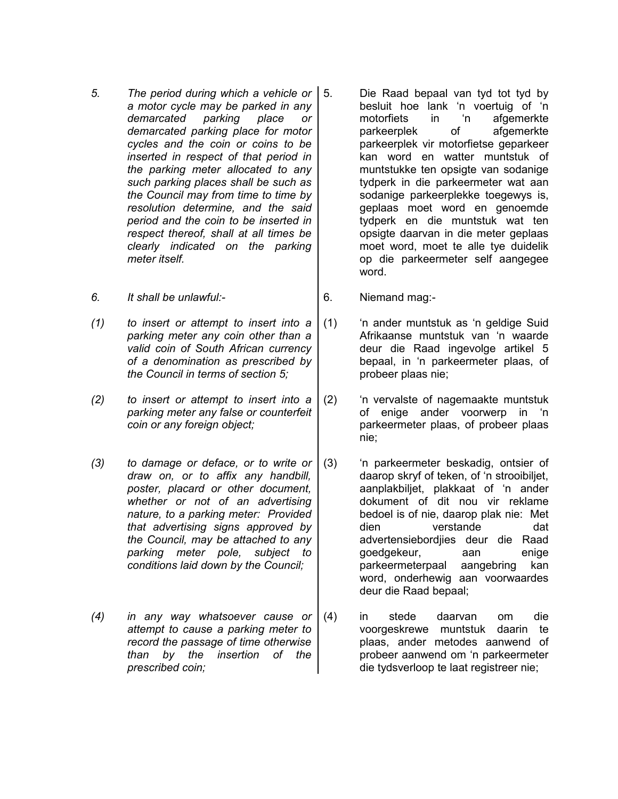- *5. The period during which a vehicle or a motor cycle may be parked in any demarcated parking place or demarcated parking place for motor cycles and the coin or coins to be inserted in respect of that period in the parking meter allocated to any such parking places shall be such as the Council may from time to time by resolution determine, and the said period and the coin to be inserted in respect thereof, shall at all times be clearly indicated on the parking meter itself.*
- *6. It shall be unlawful:-* 6. Niemand mag:-
- *(1) to insert or attempt to insert into a parking meter any coin other than a valid coin of South African currency of a denomination as prescribed by the Council in terms of section 5;*
- *(2) to insert or attempt to insert into a parking meter any false or counterfeit coin or any foreign object;*
- *(3) to damage or deface, or to write or draw on, or to affix any handbill, poster, placard or other document, whether or not of an advertising nature, to a parking meter: Provided that advertising signs approved by the Council, may be attached to any parking meter pole, subject to conditions laid down by the Council;*
- *(4) in any way whatsoever cause or attempt to cause a parking meter to record the passage of time otherwise than by the insertion of the prescribed coin;*
- 5. Die Raad bepaal van tyd tot tyd by besluit hoe lank 'n voertuig of 'n motorfiets in 'n afgemerkte parkeerplek of afgemerkte parkeerplek vir motorfietse geparkeer kan word en watter muntstuk of muntstukke ten opsigte van sodanige tydperk in die parkeermeter wat aan sodanige parkeerplekke toegewys is, geplaas moet word en genoemde tydperk en die muntstuk wat ten opsigte daarvan in die meter geplaas moet word, moet te alle tye duidelik op die parkeermeter self aangegee word.
- 
- (1) 'n ander muntstuk as 'n geldige Suid Afrikaanse muntstuk van 'n waarde deur die Raad ingevolge artikel 5 bepaal, in 'n parkeermeter plaas, of probeer plaas nie;
- (2) 'n vervalste of nagemaakte muntstuk of enige ander voorwerp in 'n parkeermeter plaas, of probeer plaas nie;
- (3) 'n parkeermeter beskadig, ontsier of daarop skryf of teken, of 'n strooibiljet, aanplakbiljet, plakkaat of 'n ander dokument of dit nou vir reklame bedoel is of nie, daarop plak nie: Met dien verstande dat advertensiebordjies deur die Raad goedgekeur, aan enige parkeermeterpaal aangebring kan word, onderhewig aan voorwaardes deur die Raad bepaal;
- (4) in stede daarvan om die voorgeskrewe muntstuk daarin te plaas, ander metodes aanwend of probeer aanwend om 'n parkeermeter die tydsverloop te laat registreer nie;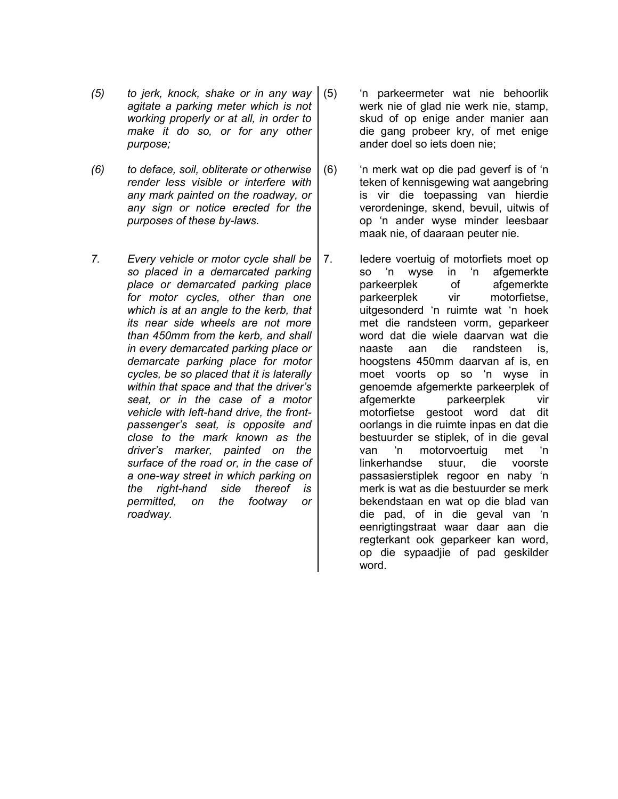- *(5) to jerk, knock, shake or in any way agitate a parking meter which is not working properly or at all, in order to make it do so, or for any other purpose;*
- *(6) to deface, soil, obliterate or otherwise render less visible or interfere with any mark painted on the roadway, or any sign or notice erected for the purposes of these by-laws.*
- *7. Every vehicle or motor cycle shall be so placed in a demarcated parking place or demarcated parking place for motor cycles, other than one which is at an angle to the kerb, that its near side wheels are not more than 450mm from the kerb, and shall in every demarcated parking place or demarcate parking place for motor cycles, be so placed that it is laterally within that space and that the driver's seat, or in the case of a motor vehicle with left-hand drive, the frontpassenger's seat, is opposite and close to the mark known as the driver's marker, painted on the surface of the road or, in the case of a one-way street in which parking on the right-hand side thereof is permitted, on the footway or roadway.*
- (5) 'n parkeermeter wat nie behoorlik werk nie of glad nie werk nie, stamp, skud of op enige ander manier aan die gang probeer kry, of met enige ander doel so iets doen nie;
- (6) 'n merk wat op die pad geverf is of 'n teken of kennisgewing wat aangebring is vir die toepassing van hierdie verordeninge, skend, bevuil, uitwis of op 'n ander wyse minder leesbaar maak nie, of daaraan peuter nie.
- 7. Iedere voertuig of motorfiets moet op so 'n wyse in 'n afgemerkte parkeerplek of afgemerkte parkeerplek vir motorfietse, uitgesonderd 'n ruimte wat 'n hoek met die randsteen vorm, geparkeer word dat die wiele daarvan wat die naaste aan die randsteen is, hoogstens 450mm daarvan af is, en moet voorts op so 'n wyse in genoemde afgemerkte parkeerplek of afgemerkte parkeerplek vir motorfietse gestoot word dat dit oorlangs in die ruimte inpas en dat die bestuurder se stiplek, of in die geval van 'n motorvoertuig met 'n linkerhandse stuur, die voorste passasierstiplek regoor en naby 'n merk is wat as die bestuurder se merk bekendstaan en wat op die blad van die pad, of in die geval van 'n eenrigtingstraat waar daar aan die regterkant ook geparkeer kan word, op die sypaadjie of pad geskilder word.